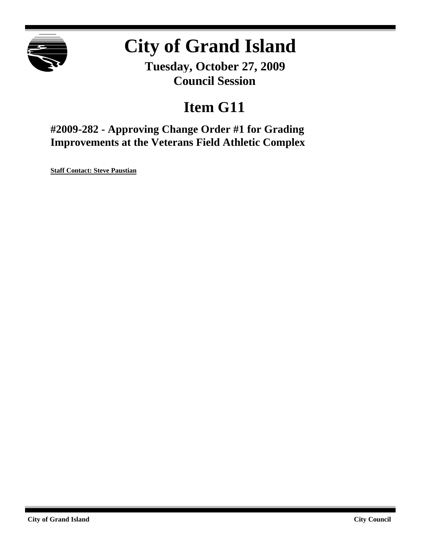

# **City of Grand Island**

**Tuesday, October 27, 2009 Council Session**

## **Item G11**

**#2009-282 - Approving Change Order #1 for Grading Improvements at the Veterans Field Athletic Complex**

**Staff Contact: Steve Paustian**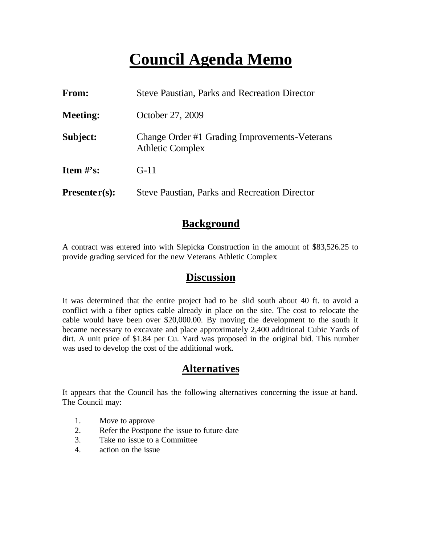## **Council Agenda Memo**

| <b>From:</b>    | <b>Steve Paustian, Parks and Recreation Director</b>                     |  |
|-----------------|--------------------------------------------------------------------------|--|
| <b>Meeting:</b> | October 27, 2009                                                         |  |
| Subject:        | Change Order #1 Grading Improvements-Veterans<br><b>Athletic Complex</b> |  |
| Item $\#$ 's:   | $G-11$                                                                   |  |
| $Presenter(s):$ | <b>Steve Paustian, Parks and Recreation Director</b>                     |  |

### **Background**

A contract was entered into with Slepicka Construction in the amount of \$83,526.25 to provide grading serviced for the new Veterans Athletic Complex.

#### **Discussion**

It was determined that the entire project had to be slid south about 40 ft. to avoid a conflict with a fiber optics cable already in place on the site. The cost to relocate the cable would have been over \$20,000.00. By moving the development to the south it became necessary to excavate and place approximately 2,400 additional Cubic Yards of dirt. A unit price of \$1.84 per Cu. Yard was proposed in the original bid. This number was used to develop the cost of the additional work.

#### **Alternatives**

It appears that the Council has the following alternatives concerning the issue at hand. The Council may:

- 1. Move to approve
- 2. Refer the Postpone the issue to future date
- 3. Take no issue to a Committee
- 4. action on the issue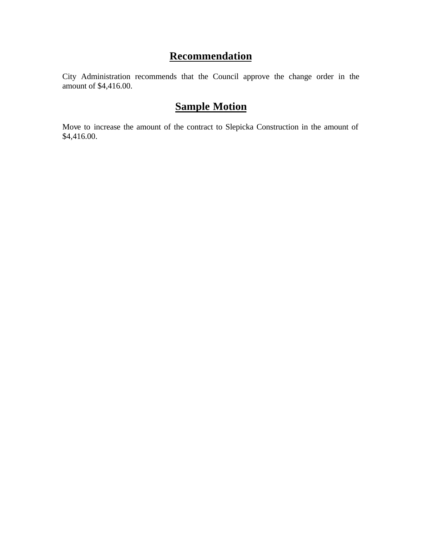## **Recommendation**

City Administration recommends that the Council approve the change order in the amount of \$4,416.00.

## **Sample Motion**

Move to increase the amount of the contract to Slepicka Construction in the amount of \$4,416.00.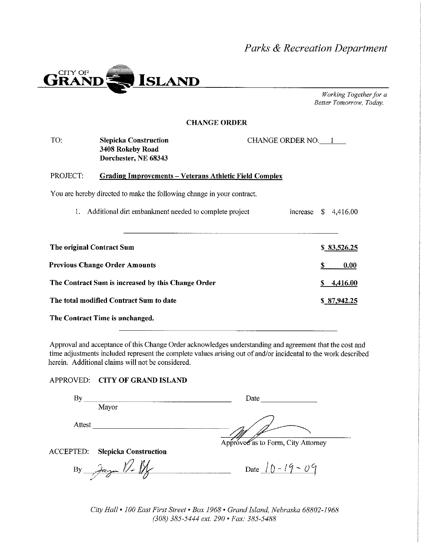Parks & Recreation Department



Working Together for a Better Tomorrow, Today.

#### **CHANGE ORDER**

| TO:<br><b>Slepicka Construction</b><br>CHANGE ORDER NO. 1<br>3408 Rokeby Road<br>Dorchester, NE 68343 |                                                               |  |             |             |             |  |  |
|-------------------------------------------------------------------------------------------------------|---------------------------------------------------------------|--|-------------|-------------|-------------|--|--|
| PROJECT:                                                                                              | <b>Grading Improvements – Veterans Athletic Field Complex</b> |  |             |             |             |  |  |
| You are hereby directed to make the following change in your contract.                                |                                                               |  |             |             |             |  |  |
|                                                                                                       | Additional dirt embankment needed to complete project         |  | increase \$ |             | 4,416.00    |  |  |
|                                                                                                       |                                                               |  |             |             |             |  |  |
| The original Contract Sum                                                                             |                                                               |  |             | \$83,526.25 |             |  |  |
| <b>Previous Change Order Amounts</b>                                                                  |                                                               |  |             | S           | 0.00        |  |  |
| The Contract Sum is increased by this Change Order                                                    |                                                               |  |             | S.          | 4,416.00    |  |  |
| The total modified Contract Sum to date                                                               |                                                               |  |             |             | \$87,942.25 |  |  |
| The Contract Time is unchanged.                                                                       |                                                               |  |             |             |             |  |  |

Approval and acceptance of this Change Order acknowledges understanding and agreement that the cost and time adjustments included represent the complete values arising out of and/or incidental to the work described herein. Additional claims will not be considered.

#### APPROVED: CITY OF GRAND ISLAND

| Вy                                        | Date                               |
|-------------------------------------------|------------------------------------|
| Mayor                                     |                                    |
| Attest                                    |                                    |
|                                           | Approved as to Form, City Attorney |
| ACCEPTED:<br><b>Slepicka Construction</b> |                                    |
| By Jan $\mathbb{Z}$                       | Date $10 - 19 - 09$                |

City Hall • 100 East First Street • Box 1968 • Grand Island, Nebraska 68802-1968 (308) 385-5444 ext. 290 · Fax: 385-5488